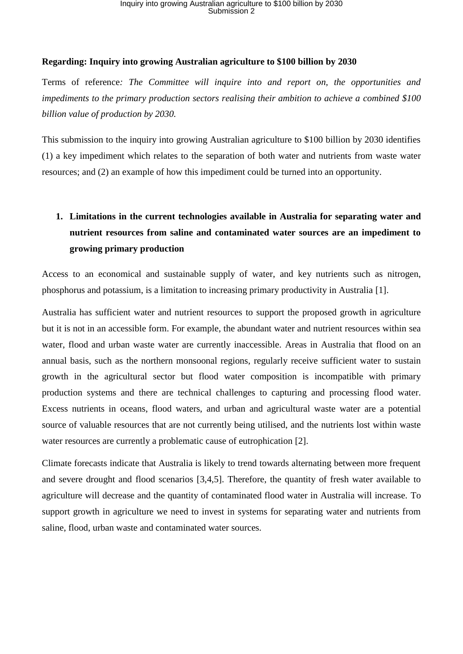#### **Regarding: Inquiry into growing Australian agriculture to \$100 billion by 2030**

Terms of reference*: The Committee will inquire into and report on, the opportunities and impediments to the primary production sectors realising their ambition to achieve a combined \$100 billion value of production by 2030.*

This submission to the inquiry into growing Australian agriculture to \$100 billion by 2030 identifies (1) a key impediment which relates to the separation of both water and nutrients from waste water resources; and (2) an example of how this impediment could be turned into an opportunity.

## **1. Limitations in the current technologies available in Australia for separating water and nutrient resources from saline and contaminated water sources are an impediment to growing primary production**

Access to an economical and sustainable supply of water, and key nutrients such as nitrogen, phosphorus and potassium, is a limitation to increasing primary productivity in Australia [1].

Australia has sufficient water and nutrient resources to support the proposed growth in agriculture but it is not in an accessible form. For example, the abundant water and nutrient resources within sea water, flood and urban waste water are currently inaccessible. Areas in Australia that flood on an annual basis, such as the northern monsoonal regions, regularly receive sufficient water to sustain growth in the agricultural sector but flood water composition is incompatible with primary production systems and there are technical challenges to capturing and processing flood water. Excess nutrients in oceans, flood waters, and urban and agricultural waste water are a potential source of valuable resources that are not currently being utilised, and the nutrients lost within waste water resources are currently a problematic cause of eutrophication [2].

Climate forecasts indicate that Australia is likely to trend towards alternating between more frequent and severe drought and flood scenarios [3,4,5]. Therefore, the quantity of fresh water available to agriculture will decrease and the quantity of contaminated flood water in Australia will increase. To support growth in agriculture we need to invest in systems for separating water and nutrients from saline, flood, urban waste and contaminated water sources.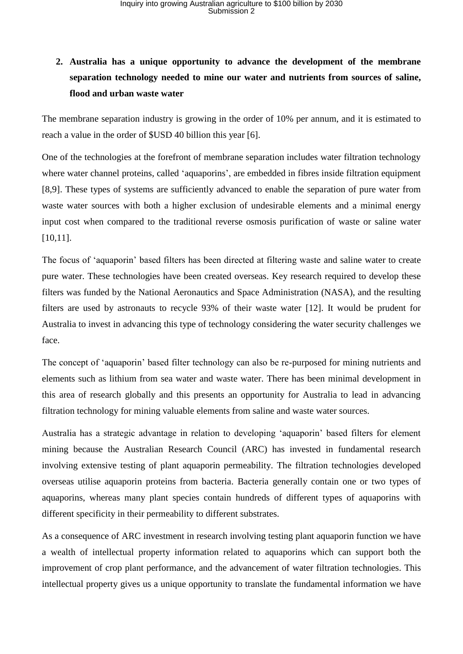## **2. Australia has a unique opportunity to advance the development of the membrane separation technology needed to mine our water and nutrients from sources of saline, flood and urban waste water**

The membrane separation industry is growing in the order of 10% per annum, and it is estimated to reach a value in the order of \$USD 40 billion this year [6].

One of the technologies at the forefront of membrane separation includes water filtration technology where water channel proteins, called 'aquaporins', are embedded in fibres inside filtration equipment [8,9]. These types of systems are sufficiently advanced to enable the separation of pure water from waste water sources with both a higher exclusion of undesirable elements and a minimal energy input cost when compared to the traditional reverse osmosis purification of waste or saline water [10,11].

The focus of 'aquaporin' based filters has been directed at filtering waste and saline water to create pure water. These technologies have been created overseas. Key research required to develop these filters was funded by the National Aeronautics and Space Administration (NASA), and the resulting filters are used by astronauts to recycle 93% of their waste water [12]. It would be prudent for Australia to invest in advancing this type of technology considering the water security challenges we face.

The concept of 'aquaporin' based filter technology can also be re-purposed for mining nutrients and elements such as lithium from sea water and waste water. There has been minimal development in this area of research globally and this presents an opportunity for Australia to lead in advancing filtration technology for mining valuable elements from saline and waste water sources.

Australia has a strategic advantage in relation to developing 'aquaporin' based filters for element mining because the Australian Research Council (ARC) has invested in fundamental research involving extensive testing of plant aquaporin permeability. The filtration technologies developed overseas utilise aquaporin proteins from bacteria. Bacteria generally contain one or two types of aquaporins, whereas many plant species contain hundreds of different types of aquaporins with different specificity in their permeability to different substrates.

As a consequence of ARC investment in research involving testing plant aquaporin function we have a wealth of intellectual property information related to aquaporins which can support both the improvement of crop plant performance, and the advancement of water filtration technologies. This intellectual property gives us a unique opportunity to translate the fundamental information we have